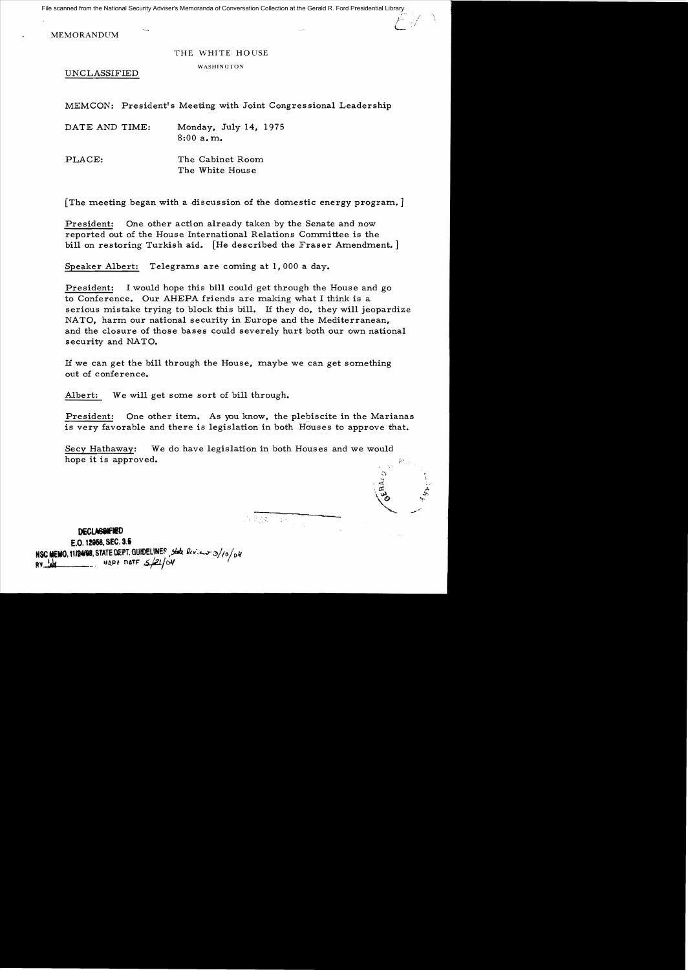File scanned from the National Security Adviser's Memoranda of Conversation Collection at the Gerald R. Ford Presidential Library

MEMORANDUM

## THE WHITE HOUSE

## WASHINGTON

UNCLASSIFIED

MEMCON: President's Meeting with Joint Congressional Leadership

| DATE AND TIME: | Monday, July 14, 1975 |
|----------------|-----------------------|
|                | 8:00a.m.              |

PLACE: The Cabinet Room The White House

[The meeting began with a discussion of the domestic energy program.]

President: One other action already taken by the Senate and now reported out of the House International Relations Committee is the bill on restoring Turkish aid. [He described the Fraser Amendment.]

Speaker Albert: Telegrams are coming at 1,000 a day.

President: I would hope this bill could get through the House and go to Conference. Our AHEPA friends are making what I think is a serious mistake trying to block this bill. If they do, they will jeopardize NATO, harm our national security in Europe and the Mediterranean, and the closure of those bases could severely hurt both our own national security and NATO.

If we can get the bill through the House, maybe we can get something out of conference.

Albert: We will get some sort of bill through.

President: One other item. As you know, the plebiscite in the Marianas is very favorable and there is legislation in both Hduses to approve that.

Secy Hathaway: We do have legislation in both Houses and we would hope it is approved.

**DECLASSIFIED** 

E.O. **12968.** SEC. 3.5 **NSC MEMO. 11/24/98. STATE DEPT. GUHDELINES**, state lev.cw-3/10/04  $BV$   $M$